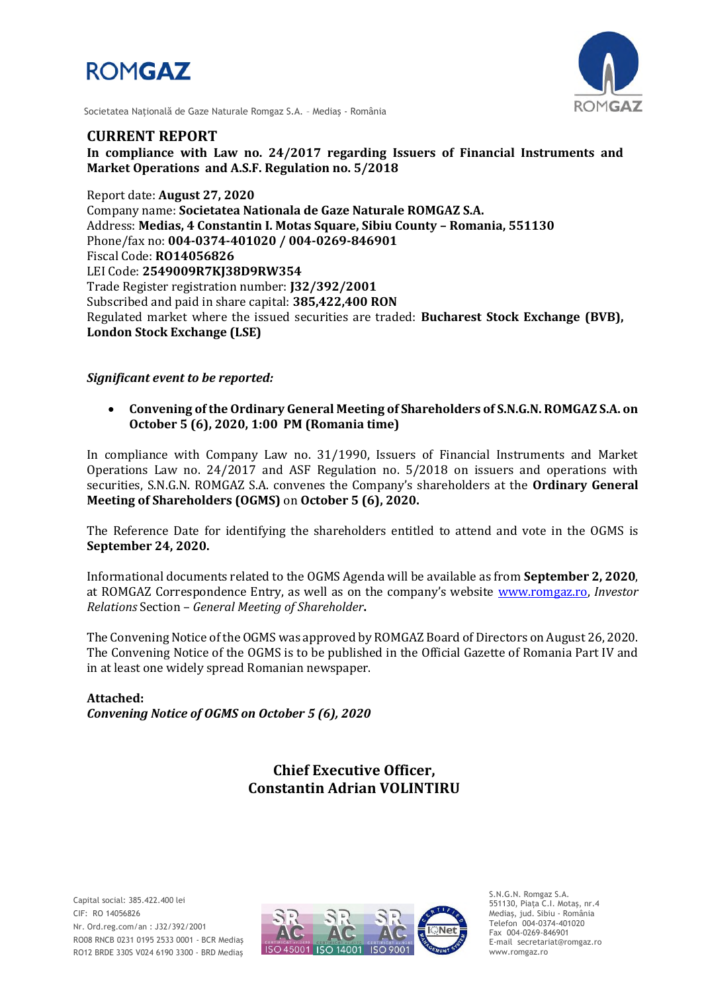



Societatea Naţională de Gaze Naturale Romgaz S.A. – Mediaş - România

# **CURRENT REPORT**

**In compliance with Law no. 24/2017 regarding Issuers of Financial Instruments and Market Operations and A.S.F. Regulation no. 5/2018**

Report date: **August 27, 2020** Company name: **Societatea Nationala de Gaze Naturale ROMGAZ S.A.** Address: **Medias, 4 Constantin I. Motas Square, Sibiu County – Romania, 551130** Phone/fax no: **004-0374-401020 / 004-0269-846901** Fiscal Code: **RO14056826** LEI Code: **2549009R7KJ38D9RW354** Trade Register registration number: **J32/392/2001** Subscribed and paid in share capital: **385,422,400 RON** Regulated market where the issued securities are traded: **Bucharest Stock Exchange (BVB), London Stock Exchange (LSE)**

## *Significant event to be reported:*

 **Convening of the Ordinary General Meeting of Shareholders of S.N.G.N. ROMGAZ S.A. on October 5 (6), 2020, 1:00 PM (Romania time)**

In compliance with Company Law no. 31/1990, Issuers of Financial Instruments and Market Operations Law no. 24/2017 and ASF Regulation no. 5/2018 on issuers and operations with securities, S.N.G.N. ROMGAZ S.A. convenes the Company's shareholders at the **Ordinary General Meeting of Shareholders (OGMS)** on **October 5 (6), 2020.**

The Reference Date for identifying the shareholders entitled to attend and vote in the OGMS is **September 24, 2020.**

Informational documents related to the OGMS Agenda will be available as from **September 2, 2020**, at ROMGAZ Correspondence Entry, as well as on the company's website [www.romgaz.ro,](http://www.romgaz.ro/) *Investor Relations* Section – *General Meeting of Shareholder***.**

The Convening Notice of the OGMS was approved by ROMGAZ Board of Directors on August 26, 2020. The Convening Notice of the OGMS is to be published in the Official Gazette of Romania Part IV and in at least one widely spread Romanian newspaper.

**Attached:** *Convening Notice of OGMS on October 5 (6), 2020*

# **Chief Executive Officer, Constantin Adrian VOLINTIRU**



S.N.G.N. Romgaz S.A. 551130, Piața C.I. Motaş, nr.4 Mediaş, jud. Sibiu - România Telefon 004-0374-401020 Fax 004-0269-846901 E-mail secretariat@romgaz.ro www.romgaz.ro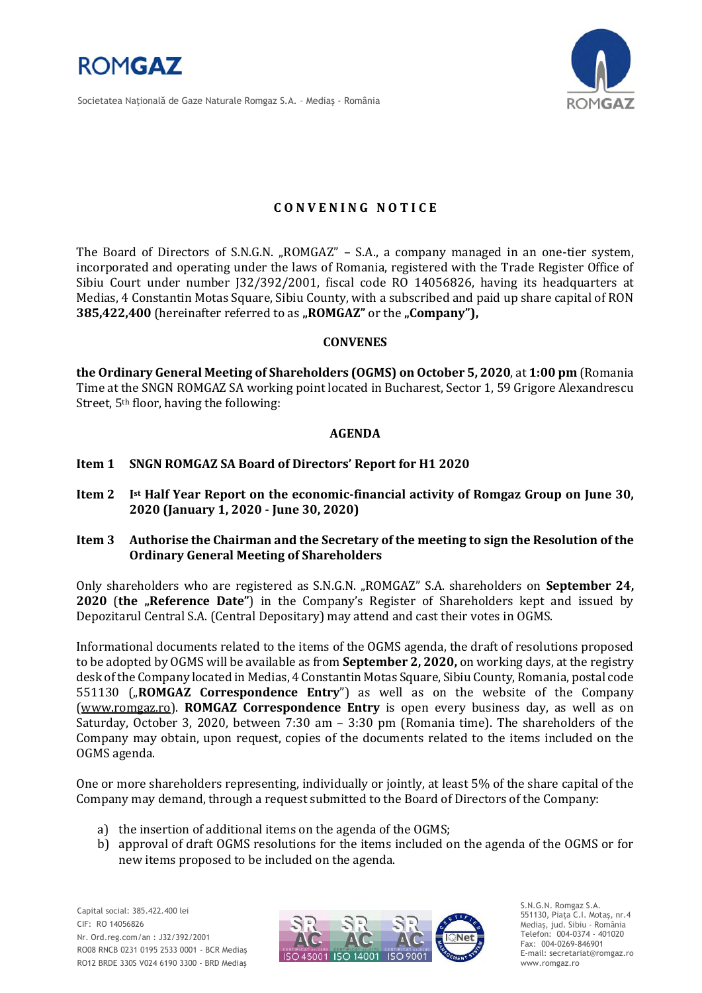

Societatea Naţională de Gaze Naturale Romgaz S.A. – Mediaş - România



# **C O N V E N I N G N O T I C E**

The Board of Directors of S.N.G.N. "ROMGAZ" - S.A., a company managed in an one-tier system, incorporated and operating under the laws of Romania, registered with the Trade Register Office of Sibiu Court under number J32/392/2001, fiscal code RO 14056826, having its headquarters at Medias, 4 Constantin Motas Square, Sibiu County, with a subscribed and paid up share capital of RON **385,422,400** (hereinafter referred to as "ROMGAZ" or the "Company"),

#### **CONVENES**

**the Ordinary General Meeting of Shareholders (OGMS) on October 5, 2020**, at **1:00 pm** (Romania Time at the SNGN ROMGAZ SA working point located in Bucharest, Sector 1, 59 Grigore Alexandrescu Street, 5<sup>th</sup> floor, having the following:

## **AGENDA**

## **Item 1 SNGN ROMGAZ SA Board of Directors' Report for H1 2020**

- **Item 2 I st Half Year Report on the economic-financial activity of Romgaz Group on June 30, 2020 (January 1, 2020 - June 30, 2020)**
- **Item 3 Authorise the Chairman and the Secretary of the meeting to sign the Resolution of the Ordinary General Meeting of Shareholders**

Only shareholders who are registered as S.N.G.N. "ROMGAZ" S.A. shareholders on **September 24, 2020** (the "Reference Date") in the Company's Register of Shareholders kept and issued by Depozitarul Central S.A. (Central Depositary) may attend and cast their votes in OGMS.

Informational documents related to the items of the OGMS agenda, the draft of resolutions proposed to be adopted by OGMS will be available as from **September 2, 2020,** on working days, at the registry desk of the Company located in Medias, 4 Constantin Motas Square, Sibiu County, Romania, postal code 551130 ("ROMGAZ Correspondence Entry") as well as on the website of the Company [\(www.romgaz.ro\)](http://www.romgaz.ro/). **ROMGAZ Correspondence Entry** is open every business day, as well as on Saturday, October 3, 2020, between 7:30 am – 3:30 pm (Romania time). The shareholders of the Company may obtain, upon request, copies of the documents related to the items included on the OGMS agenda.

One or more shareholders representing, individually or jointly, at least 5% of the share capital of the Company may demand, through a request submitted to the Board of Directors of the Company:

- a) the insertion of additional items on the agenda of the OGMS;
- b) approval of draft OGMS resolutions for the items included on the agenda of the OGMS or for new items proposed to be included on the agenda.

Capital social: 385.422.400 lei CIF: RO 14056826 Nr. Ord.reg.com/an : J32/392/2001 RO08 RNCB 0231 0195 2533 0001 - BCR Mediaş RO12 BRDE 330S V024 6190 3300 - BRD Mediaş



S.N.G.N. Romgaz S.A. 551130, Piața C.I. Motaş, nr.4 Mediaş, jud. Sibiu - România Telefon: 004-0374 - 401020 Fax: 004-0269-846901 E-mail: secretariat@romgaz.ro www.romgaz.ro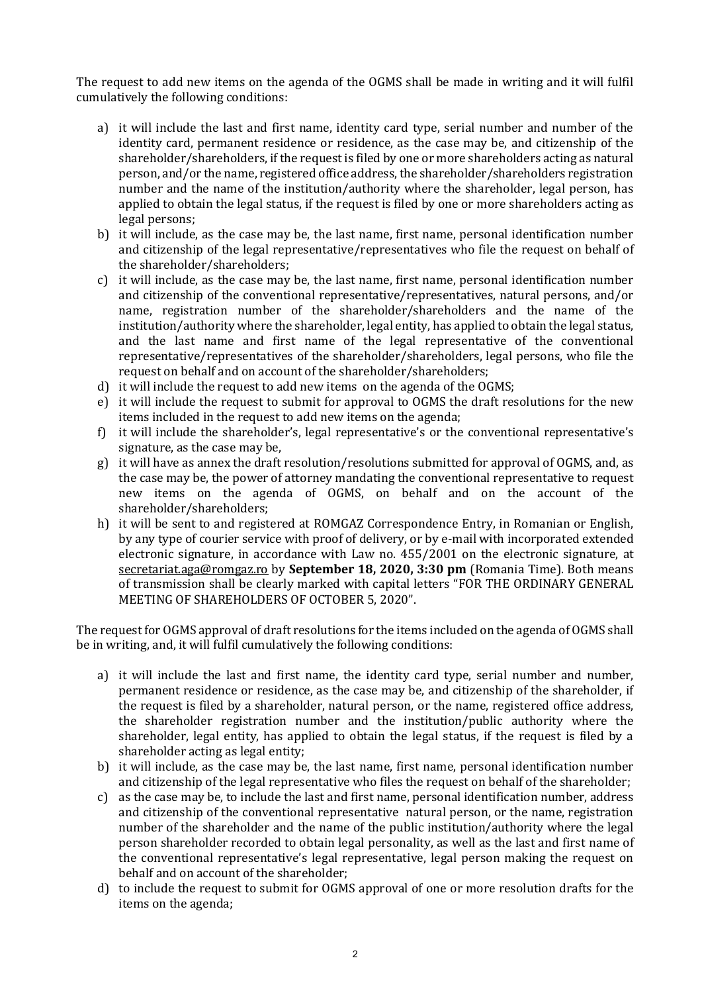The request to add new items on the agenda of the OGMS shall be made in writing and it will fulfil cumulatively the following conditions:

- a) it will include the last and first name, identity card type, serial number and number of the identity card, permanent residence or residence, as the case may be, and citizenship of the shareholder/shareholders, if the request is filed by one or more shareholders acting as natural person, and/or the name, registered office address, the shareholder/shareholders registration number and the name of the institution/authority where the shareholder, legal person, has applied to obtain the legal status, if the request is filed by one or more shareholders acting as legal persons;
- b) it will include, as the case may be, the last name, first name, personal identification number and citizenship of the legal representative/representatives who file the request on behalf of the shareholder/shareholders;
- c) it will include, as the case may be, the last name, first name, personal identification number and citizenship of the conventional representative/representatives, natural persons, and/or name, registration number of the shareholder/shareholders and the name of the institution/authority where the shareholder, legal entity, has applied to obtain the legal status, and the last name and first name of the legal representative of the conventional representative/representatives of the shareholder/shareholders, legal persons, who file the request on behalf and on account of the shareholder/shareholders;
- d) it will include the request to add new items on the agenda of the OGMS;
- e) it will include the request to submit for approval to OGMS the draft resolutions for the new items included in the request to add new items on the agenda;
- f) it will include the shareholder's, legal representative's or the conventional representative's signature, as the case may be,
- g) it will have as annex the draft resolution/resolutions submitted for approval of OGMS, and, as the case may be, the power of attorney mandating the conventional representative to request new items on the agenda of OGMS, on behalf and on the account of the shareholder/shareholders;
- h) it will be sent to and registered at ROMGAZ Correspondence Entry, in Romanian or English, by any type of courier service with proof of delivery, or by e-mail with incorporated extended electronic signature, in accordance with Law no. 455/2001 on the electronic signature, at [secretariat.aga@romgaz.ro](mailto:secretariat.aga%40romgaz.ro) by **September 18, 2020, 3:30 pm** (Romania Time). Both means of transmission shall be clearly marked with capital letters "FOR THE ORDINARY GENERAL MEETING OF SHAREHOLDERS OF OCTOBER 5, 2020".

The request for OGMS approval of draft resolutions for the items included on the agenda of OGMS shall be in writing, and, it will fulfil cumulatively the following conditions:

- a) it will include the last and first name, the identity card type, serial number and number, permanent residence or residence, as the case may be, and citizenship of the shareholder, if the request is filed by a shareholder, natural person, or the name, registered office address, the shareholder registration number and the institution/public authority where the shareholder, legal entity, has applied to obtain the legal status, if the request is filed by a shareholder acting as legal entity;
- b) it will include, as the case may be, the last name, first name, personal identification number and citizenship of the legal representative who files the request on behalf of the shareholder;
- c) as the case may be, to include the last and first name, personal identification number, address and citizenship of the conventional representative natural person, or the name, registration number of the shareholder and the name of the public institution/authority where the legal person shareholder recorded to obtain legal personality, as well as the last and first name of the conventional representative's legal representative, legal person making the request on behalf and on account of the shareholder;
- d) to include the request to submit for OGMS approval of one or more resolution drafts for the items on the agenda;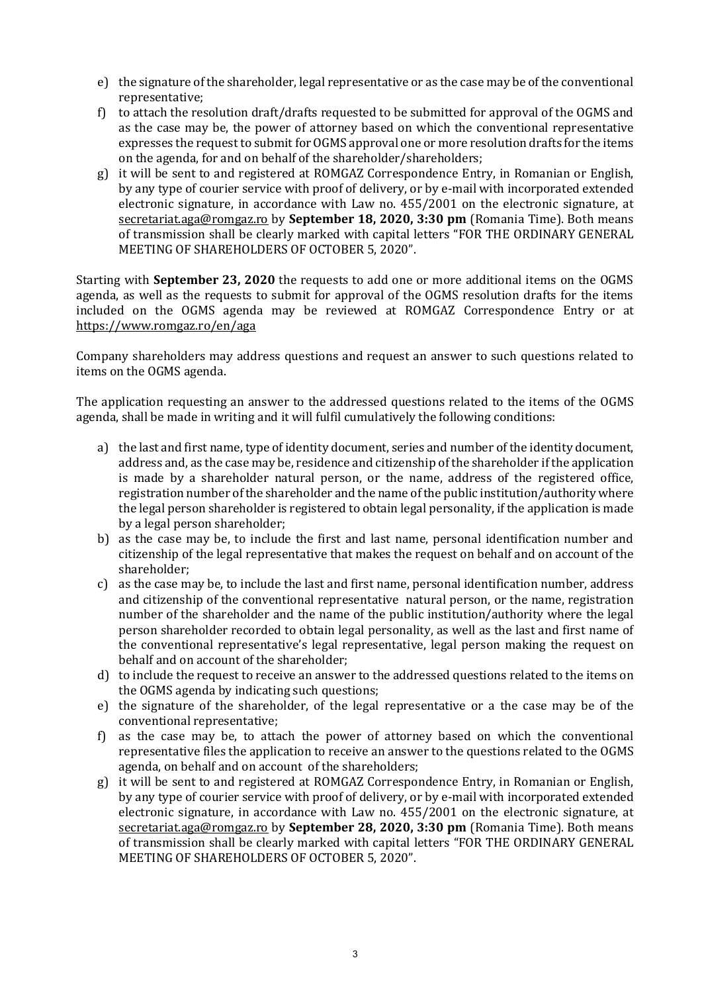- e) the signature of the shareholder, legal representative or as the case may be of the conventional representative;
- f) to attach the resolution draft/drafts requested to be submitted for approval of the OGMS and as the case may be, the power of attorney based on which the conventional representative expresses the request to submit for OGMS approval one or more resolution drafts for the items on the agenda, for and on behalf of the shareholder/shareholders;
- g) it will be sent to and registered at ROMGAZ Correspondence Entry, in Romanian or English, by any type of courier service with proof of delivery, or by e-mail with incorporated extended electronic signature, in accordance with Law no. 455/2001 on the electronic signature, at [secretariat.aga@romgaz.ro](mailto:secretariat.aga%40romgaz.ro) by **September 18, 2020, 3:30 pm** (Romania Time). Both means of transmission shall be clearly marked with capital letters "FOR THE ORDINARY GENERAL MEETING OF SHAREHOLDERS OF OCTOBER 5, 2020".

Starting with **September 23, 2020** the requests to add one or more additional items on the OGMS agenda, as well as the requests to submit for approval of the OGMS resolution drafts for the items included on the OGMS agenda may be reviewed at ROMGAZ Correspondence Entry or at <https://www.romgaz.ro/en/aga>

Company shareholders may address questions and request an answer to such questions related to items on the OGMS agenda.

The application requesting an answer to the addressed questions related to the items of the OGMS agenda, shall be made in writing and it will fulfil cumulatively the following conditions:

- a) the last and first name, type of identity document, series and number of the identity document, address and, as the case may be, residence and citizenship of the shareholder if the application is made by a shareholder natural person, or the name, address of the registered office, registration number of the shareholder and the name of the public institution/authority where the legal person shareholder is registered to obtain legal personality, if the application is made by a legal person shareholder;
- b) as the case may be, to include the first and last name, personal identification number and citizenship of the legal representative that makes the request on behalf and on account of the shareholder;
- c) as the case may be, to include the last and first name, personal identification number, address and citizenship of the conventional representative natural person, or the name, registration number of the shareholder and the name of the public institution/authority where the legal person shareholder recorded to obtain legal personality, as well as the last and first name of the conventional representative's legal representative, legal person making the request on behalf and on account of the shareholder;
- d) to include the request to receive an answer to the addressed questions related to the items on the OGMS agenda by indicating such questions;
- e) the signature of the shareholder, of the legal representative or a the case may be of the conventional representative;
- f) as the case may be, to attach the power of attorney based on which the conventional representative files the application to receive an answer to the questions related to the OGMS agenda, on behalf and on account of the shareholders;
- g) it will be sent to and registered at ROMGAZ Correspondence Entry, in Romanian or English, by any type of courier service with proof of delivery, or by e-mail with incorporated extended electronic signature, in accordance with Law no. 455/2001 on the electronic signature, at [secretariat.aga@romgaz.ro](mailto:secretariat.aga%40romgaz.ro) by **September 28, 2020, 3:30 pm** (Romania Time). Both means of transmission shall be clearly marked with capital letters "FOR THE ORDINARY GENERAL MEETING OF SHAREHOLDERS OF OCTOBER 5, 2020".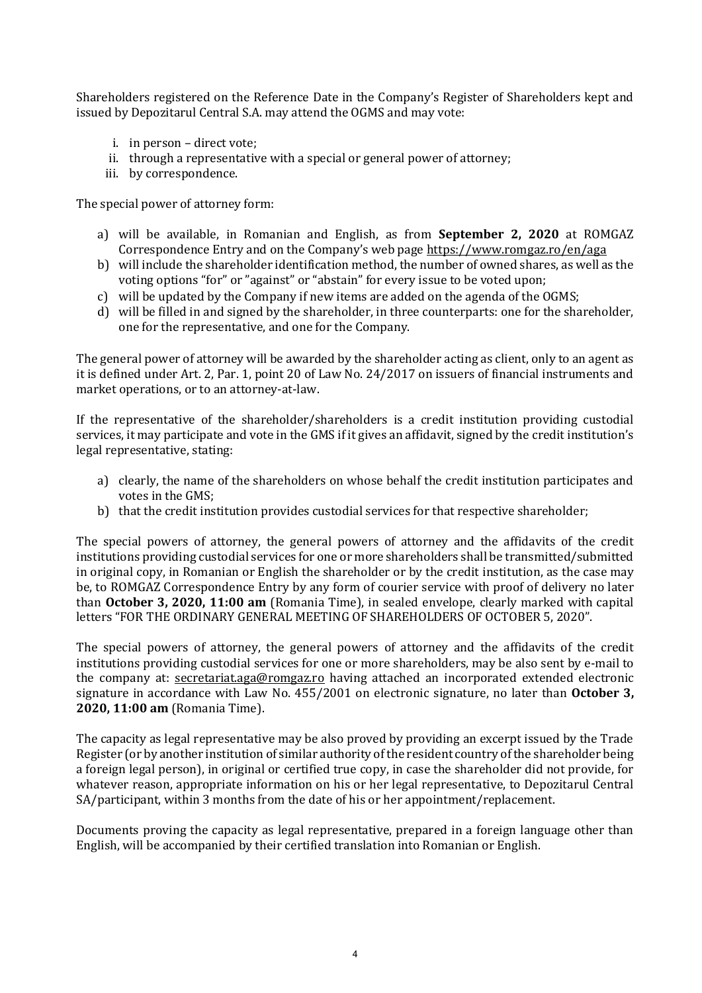Shareholders registered on the Reference Date in the Company's Register of Shareholders kept and issued by Depozitarul Central S.A. may attend the OGMS and may vote:

- i. in person direct vote;
- ii. through a representative with a special or general power of attorney;
- iii. by correspondence.

The special power of attorney form:

- a) will be available, in Romanian and English, as from **September 2, 2020** at ROMGAZ Correspondence Entry and on the Company's web page <https://www.romgaz.ro/en/aga>
- b) will include the shareholder identification method, the number of owned shares, as well as the voting options "for" or "against" or "abstain" for every issue to be voted upon;
- c) will be updated by the Company if new items are added on the agenda of the OGMS;
- d) will be filled in and signed by the shareholder, in three counterparts: one for the shareholder, one for the representative, and one for the Company.

The general power of attorney will be awarded by the shareholder acting as client, only to an agent as it is defined under Art. 2, Par. 1, point 20 of Law No. 24/2017 on issuers of financial instruments and market operations, or to an attorney-at-law.

If the representative of the shareholder/shareholders is a credit institution providing custodial services, it may participate and vote in the GMS if it gives an affidavit, signed by the credit institution's legal representative, stating:

- a) clearly, the name of the shareholders on whose behalf the credit institution participates and votes in the GMS;
- b) that the credit institution provides custodial services for that respective shareholder;

The special powers of attorney, the general powers of attorney and the affidavits of the credit institutions providing custodial services for one or more shareholders shall be transmitted/submitted in original copy, in Romanian or English the shareholder or by the credit institution, as the case may be, to ROMGAZ Correspondence Entry by any form of courier service with proof of delivery no later than **October 3, 2020, 11:00 am** (Romania Time), in sealed envelope, clearly marked with capital letters "FOR THE ORDINARY GENERAL MEETING OF SHAREHOLDERS OF OCTOBER 5, 2020".

The special powers of attorney, the general powers of attorney and the affidavits of the credit institutions providing custodial services for one or more shareholders, may be also sent by e-mail to the company at: [secretariat.aga@romgaz.ro](mailto:secretariat.aga%40romgaz.ro) having attached an incorporated extended electronic signature in accordance with Law No. 455/2001 on electronic signature, no later than **October 3, 2020, 11:00 am** (Romania Time).

The capacity as legal representative may be also proved by providing an excerpt issued by the Trade Register (or by another institution of similar authority of the resident country of the shareholder being a foreign legal person), in original or certified true copy, in case the shareholder did not provide, for whatever reason, appropriate information on his or her legal representative, to Depozitarul Central SA/participant, within 3 months from the date of his or her appointment/replacement.

Documents proving the capacity as legal representative, prepared in a foreign language other than English, will be accompanied by their certified translation into Romanian or English.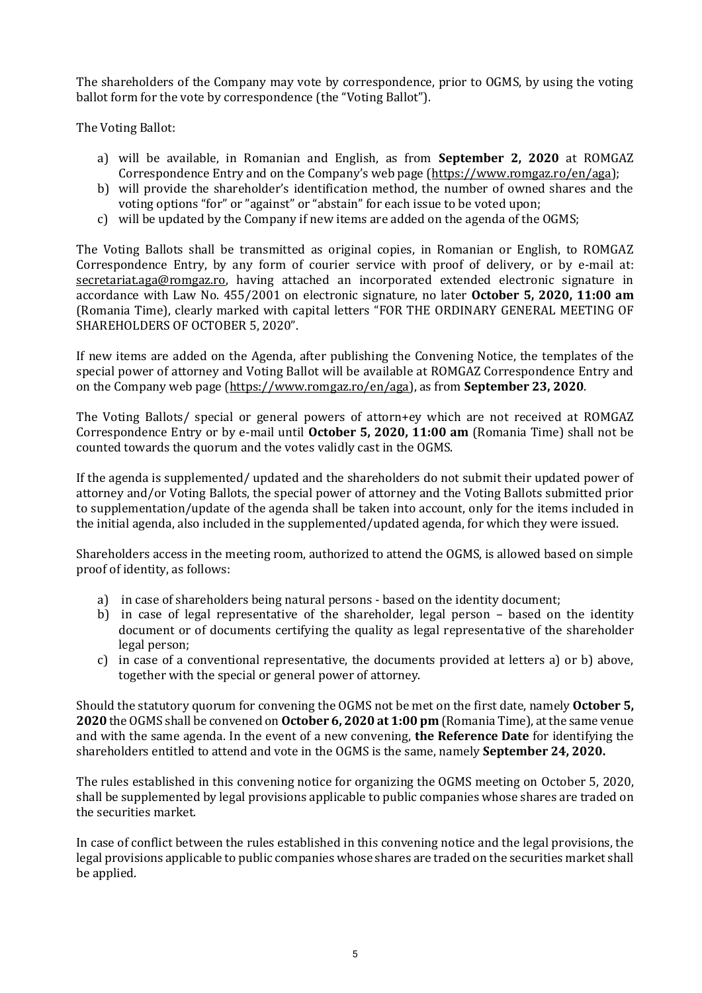The shareholders of the Company may vote by correspondence, prior to OGMS, by using the voting ballot form for the vote by correspondence (the "Voting Ballot").

The Voting Ballot:

- a) will be available, in Romanian and English, as from **September 2, 2020** at ROMGAZ Correspondence Entry and on the Company's web page ([https://www.romgaz.ro/en/aga\)](https://www.romgaz.ro/en/aga);
- b) will provide the shareholder's identification method, the number of owned shares and the voting options "for" or "against" or "abstain" for each issue to be voted upon;
- c) will be updated by the Company if new items are added on the agenda of the OGMS;

The Voting Ballots shall be transmitted as original copies, in Romanian or English, to ROMGAZ Correspondence Entry, by any form of courier service with proof of delivery, or by e-mail at: [secretariat.aga@romgaz.ro,](mailto:secretariat.aga%40romgaz.ro) having attached an incorporated extended electronic signature in accordance with Law No. 455/2001 on electronic signature, no later **October 5, 2020, 11:00 am**  (Romania Time), clearly marked with capital letters "FOR THE ORDINARY GENERAL MEETING OF SHAREHOLDERS OF OCTOBER 5, 2020".

If new items are added on the Agenda, after publishing the Convening Notice, the templates of the special power of attorney and Voting Ballot will be available at ROMGAZ Correspondence Entry and on the Company web page [\(https://www.romgaz.ro/en/aga\)](https://www.romgaz.ro/en/aga), as from **September 23, 2020**.

The Voting Ballots/ special or general powers of attorn+ey which are not received at ROMGAZ Correspondence Entry or by e-mail until **October 5, 2020, 11:00 am** (Romania Time) shall not be counted towards the quorum and the votes validly cast in the OGMS.

If the agenda is supplemented/ updated and the shareholders do not submit their updated power of attorney and/or Voting Ballots, the special power of attorney and the Voting Ballots submitted prior to supplementation/update of the agenda shall be taken into account, only for the items included in the initial agenda, also included in the supplemented/updated agenda, for which they were issued.

Shareholders access in the meeting room, authorized to attend the OGMS, is allowed based on simple proof of identity, as follows:

- a) in case of shareholders being natural persons based on the identity document;
- b) in case of legal representative of the shareholder, legal person based on the identity document or of documents certifying the quality as legal representative of the shareholder legal person;
- c) in case of a conventional representative, the documents provided at letters a) or b) above, together with the special or general power of attorney.

Should the statutory quorum for convening the OGMS not be met on the first date, namely **October 5, 2020** the OGMS shall be convened on **October 6, 2020 at 1:00 pm** (Romania Time), at the same venue and with the same agenda. In the event of a new convening, **the Reference Date** for identifying the shareholders entitled to attend and vote in the OGMS is the same, namely **September 24, 2020.**

The rules established in this convening notice for organizing the OGMS meeting on October 5, 2020, shall be supplemented by legal provisions applicable to public companies whose shares are traded on the securities market.

In case of conflict between the rules established in this convening notice and the legal provisions, the legal provisions applicable to public companies whose shares are traded on the securities market shall be applied.